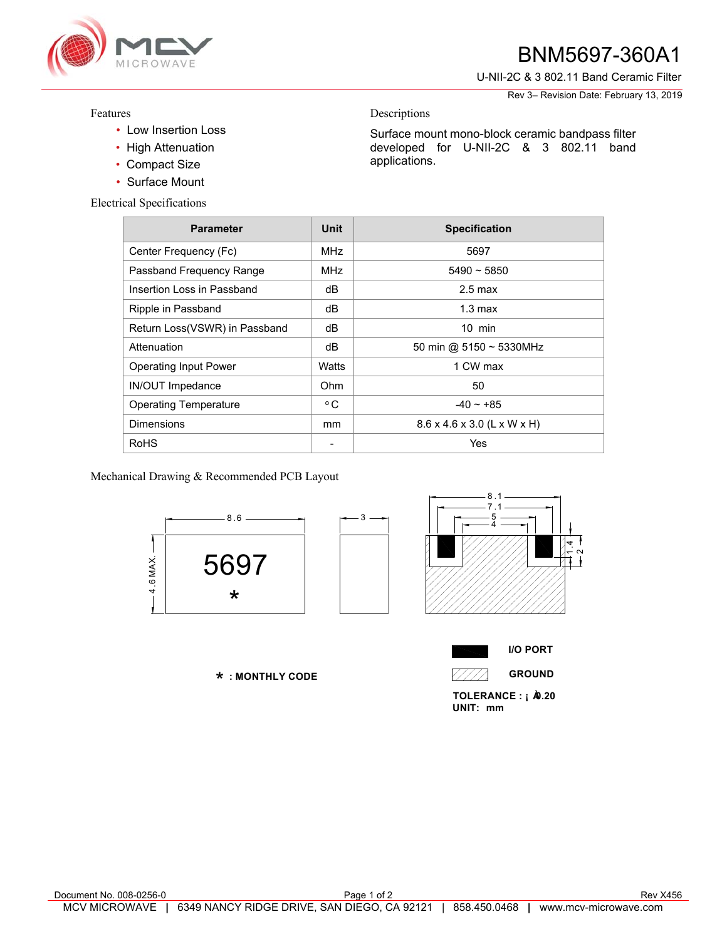

## **2** BNM5697-360A1

U-NII-2C & 3 802.11 Band Ceramic Filter

Rev 3– Revision Date: February 13, 2019

## Features

- Low Insertion Loss
- High Attenuation
- Compact Size
- Surface Mount

Electrical S

| al Specifications             |                          |                             |
|-------------------------------|--------------------------|-----------------------------|
| <b>Parameter</b>              | <b>Unit</b>              | <b>Specification</b>        |
| Center Frequency (Fc)         | <b>MHz</b>               | 5697                        |
| Passband Frequency Range      | <b>MHz</b>               | $5490 - 5850$               |
| Insertion Loss in Passband    | dB                       | $2.5 \text{ max}$           |
| Ripple in Passband            | dB                       | $1.3 \text{ max}$           |
| Return Loss(VSWR) in Passband | dB                       | $10$ min                    |
| Attenuation                   | dB                       | 50 min @ 5150 ~ 5330MHz     |
| Operating Input Power         | Watts                    | 1 CW max                    |
| <b>IN/OUT Impedance</b>       | Ohm                      | 50                          |
| <b>Operating Temperature</b>  | $^{\circ}$ C             | $-40 - +85$                 |
| Dimensions                    | mm                       | 8.6 x 4.6 x 3.0 (L x W x H) |
| RoHS                          | $\overline{\phantom{0}}$ | Yes                         |

Descriptions

applications.

Mechanical Drawing & Recommended PCB Layout



 **: MONTHLY CODE** \*



Surface mount mono-block ceramic bandpass filter developed for U-NII-2C & 3 802.11 band



**I/O PORT GROUND**

TOLERANCE : **¡ À** .20 **UNIT: mm**